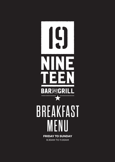

8.30AM TO 11.00AM